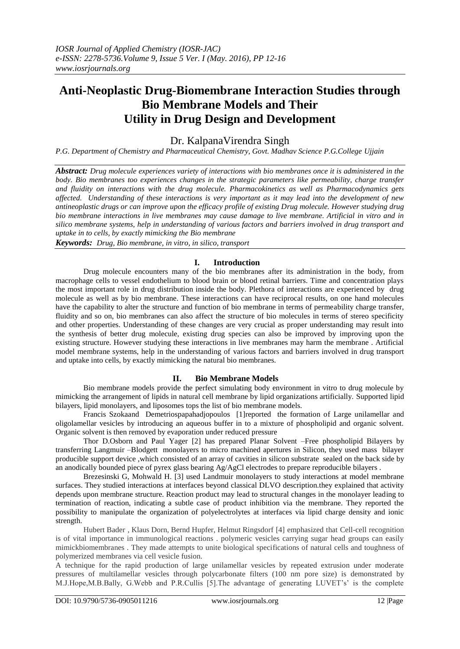# **Anti-Neoplastic Drug-Biomembrane Interaction Studies through Bio Membrane Models and Their Utility in Drug Design and Development**

# Dr. KalpanaVirendra Singh

*P.G. Department of Chemistry and Pharmaceutical Chemistry, Govt. Madhav Science P.G.College Ujjain*

*Abstract: Drug molecule experiences variety of interactions with bio membranes once it is administered in the body. Bio membranes too experiences changes in the strategic parameters like permeability, charge transfer and fluidity on interactions with the drug molecule. Pharmacokinetics as well as Pharmacodynamics gets affected. Understanding of these interactions is very important as it may lead into the development of new antineoplastic drugs or can improve upon the efficacy profile of existing Drug molecule. However studying drug bio membrane interactions in live membranes may cause damage to live membrane. Artificial in vitro and in silico membrane systems, help in understanding of various factors and barriers involved in drug transport and uptake in to cells, by exactly mimicking the Bio membrane*

*Keywords: Drug, Bio membrane, in vitro, in silico, transport*

## **I. Introduction**

Drug molecule encounters many of the bio membranes after its administration in the body, from macrophage cells to vessel endothelium to blood brain or blood retinal barriers. Time and concentration plays the most important role in drug distribution inside the body. Plethora of interactions are experienced by drug molecule as well as by bio membrane. These interactions can have reciprocal results, on one hand molecules have the capability to alter the structure and function of bio membrane in terms of permeability charge transfer, fluidity and so on, bio membranes can also affect the structure of bio molecules in terms of stereo specificity and other properties. Understanding of these changes are very crucial as proper understanding may result into the synthesis of better drug molecule, existing drug species can also be improved by improving upon the existing structure. However studying these interactions in live membranes may harm the membrane . Artificial model membrane systems, help in the understanding of various factors and barriers involved in drug transport and uptake into cells, by exactly mimicking the natural bio membranes.

## **II. Bio Membrane Models**

Bio membrane models provide the perfect simulating body environment in vitro to drug molecule by mimicking the arrangement of lipids in natural cell membrane by lipid organizations artificially. Supported lipid bilayers, lipid monolayers, and liposomes tops the list of bio membrane models.

Francis Szokaand Demetriospapahadjopoulos [1]reported the formation of Large unilamellar and oligolamellar vesicles by introducing an aqueous buffer in to a mixture of phospholipid and organic solvent. Organic solvent is then removed by evaporation under reduced pressure

Thor D.Osborn and Paul Yager [2] has prepared Planar Solvent –Free phospholipid Bilayers by transferring Langmuir –Blodgett monolayers to micro machined apertures in Silicon, they used mass bilayer producible support device ,which consisted of an array of cavities in silicon substrate sealed on the back side by an anodically bounded piece of pyrex glass bearing Ag/AgCl electrodes to prepare reproducible bilayers .

Brezesinski G, Mohwald H. [3] used Landmuir monolayers to study interactions at model membrane surfaces. They studied interactions at interfaces beyond classical DLVO description.they explained that activity depends upon membrane structure. Reaction product may lead to structural changes in the monolayer leading to termination of reaction, indicating a subtle case of product inhibition via the membrane. They reported the possibility to manipulate the organization of polyelectrolytes at interfaces via lipid charge density and ionic strength.

Hubert Bader , Klaus Dorn, Bernd Hupfer, Helmut Ringsdorf [4] emphasized that Cell-cell recognition is of vital importance in immunological reactions . polymeric vesicles carrying sugar head groups can easily mimickbiomembranes . They made attempts to unite biological specifications of natural cells and toughness of polymerized membranes via cell vesicle fusion.

A technique for the rapid production of large unilamellar vesicles by repeated extrusion under moderate pressures of multilamellar vesicles through polycarbonate filters (100 nm pore size) is demonstrated by M.J.Hope,M.B.Bally, G.Webb and P.R.Cullis [5].The advantage of generating LUVET's' is the complete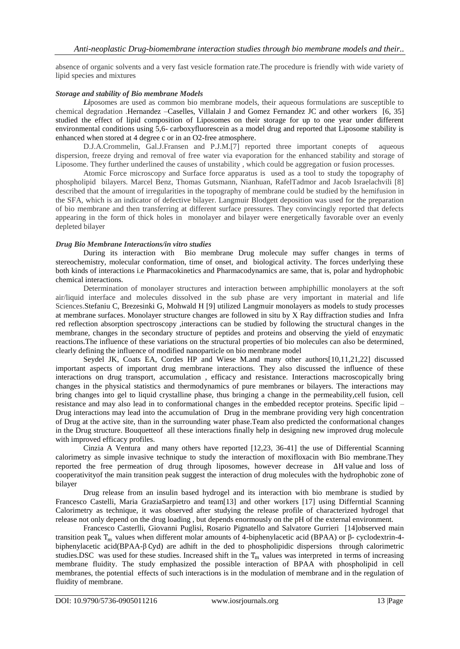absence of organic solvents and a very fast vesicle formation rate.The procedure is friendly with wide variety of lipid species and mixtures

#### *Storage and stability of Bio membrane Models*

*Li*posomes are used as common bio membrane models, their aqueous formulations are susceptible to chemical degradation .Hernandez –Caselles, Villalain J and Gomez Fernandez JC and other workers [6, 35] studied the effect of lipid composition of Liposomes on their storage for up to one year under different environmental conditions using 5,6- carboxyfluorescein as a model drug and reported that Liposome stability is enhanced when stored at 4 degree c or in an O2-free atmosphere.

D.J.A.Crommelin, Gal.J.Fransen and P.J.M.[7] reported three important conepts of aqueous dispersion, freeze drying and removal of free water via evaporation for the enhanced stability and storage of Liposome. They further underlined the causes of unstability , which could be aggregation or fusion processes.

Atomic Force microscopy and Surface force apparatus is used as a tool to study the topography of phospholipid bilayers. Marcel Benz, Thomas Gutsmann, Nianhuan, RafelTadmor and Jacob Israelachvili [8] described that the amount of irregularities in the topography of membrane could be studied by the hemifusion in the SFA, which is an indicator of defective bilayer. Langmuir Blodgett deposition was used for the preparation of bio membrane and then transferring at different surface pressures. They convincingly reported that defects appearing in the form of thick holes in monolayer and bilayer were energetically favorable over an evenly depleted bilayer

#### *Drug Bio Membrane Interactions/in vitro studies*

During its interaction with Bio membrane Drug molecule may suffer changes in terms of stereochemistry, molecular conformation, time of onset, and biological activity. The forces underlying these both kinds of interactions i.e Pharmacokinetics and Pharmacodynamics are same, that is, polar and hydrophobic chemical interactions.

Determination of monolayer structures and interaction between amphiphillic monolayers at the soft air/liquid interface and molecules dissolved in the sub phase are very important in material and life Sciences.Stefaniu C, Brezesinki G, Mohwald H [9] utilized Langmuir monolayers as models to study processes at membrane surfaces. Monolayer structure changes are followed in situ by X Ray diffraction studies and Infra red reflection absorption spectroscopy ,interactions can be studied by following the structural changes in the membrane, changes in the secondary structure of peptides and proteins and observing the yield of enzymatic reactions.The influence of these variations on the structural properties of bio molecules can also be determined, clearly defining the influence of modified nanoparticle on bio membrane model

Seydel JK, Coats EA, Cordes HP and Wiese M.and many other authors[10,11,21,22] discussed important aspects of important drug membrane interactions. They also discussed the influence of these interactions on drug transport, accumulation , efficacy and resistance. Interactions macroscopically bring changes in the physical statistics and thermodynamics of pure membranes or bilayers. The interactions may bring changes into gel to liquid crystalline phase, thus bringing a change in the permeability,cell fusion, cell resistance and may also lead in to conformational changes in the embedded receptor proteins. Specific lipid – Drug interactions may lead into the accumulation of Drug in the membrane providing very high concentration of Drug at the active site, than in the surrounding water phase.Team also predicted the conformational changes in the Drug structure. Bouquetteof all these interactions finally help in designing new improved drug molecule with improved efficacy profiles.

Cinzia A Ventura and many others have reported [12,23, 36-41] the use of Differential Scanning calorimetry as simple invasive technique to study the interaction of moxifloxacin with Bio membrane.They reported the free permeation of drug through liposomes, however decrease in ∆H value and loss of cooperativityof the main transition peak suggest the interaction of drug molecules with the hydrophobic zone of bilayer

Drug release from an insulin based hydrogel and its interaction with bio membrane is studied by Francesco Castelli, Maria GraziaSarpietro and team[13] and other workers [17] using Differntial Scanning Calorimetry as technique, it was observed after studying the release profile of characterized hydrogel that release not only depend on the drug loading , but depends enormously on the pH of the external environment.

Francesco Casterlli, Giovanni Puglisi, Rosario Pignatello and Salvatore Gurrieri [14]observed main transition peak T<sub>m</sub> values when different molar amounts of 4-biphenylacetic acid (BPAA) or β- cyclodextrin-4biphenylacetic acid(BPAA-β Cyd) are adhift in the ded to phospholipidic dispersions through calorimetric studies.DSC was used for these studies. Increased shift in the  $T_m$  values was interpreted in terms of increasing membrane fluidity. The study emphasized the possible interaction of BPAA with phospholipid in cell membranes, the potential effects of such interactions is in the modulation of membrane and in the regulation of fluidity of membrane.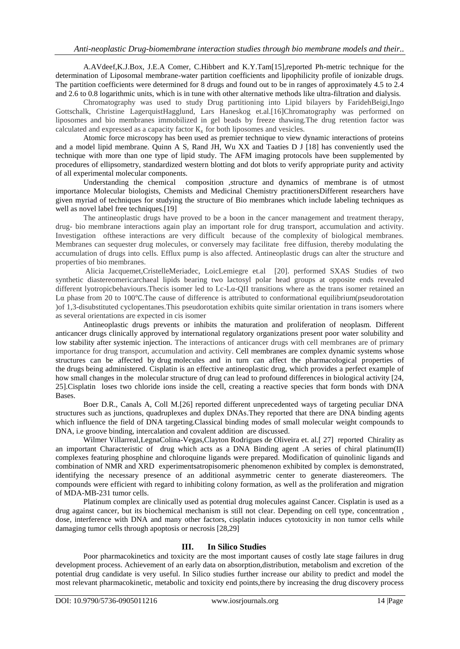A.AVdeef,K.J.Box, J.E.A Comer, C.Hibbert and K.Y.Tam[15],reported Ph-metric technique for the determination of Liposomal membrane-water partition coefficients and lipophilicity profile of ionizable drugs. The partition coefficients were determined for 8 drugs and found out to be in ranges of approximately 4.5 to 2.4 and 2.6 to 0.8 logarithmic units, which is in tune with other alternative methods like ultra-filtration and dialysis.

Chromatography was used to study Drug partitioning into Lipid bilayers by FaridehBeigi,Ingo Gottschalk, Christine LagerquistHagglund, Lars Haneskog et.al.[16]Chromatography was performed on liposomes and bio membranes immobilized in gel beads by freeze thawing.The drug retention factor was calculated and expressed as a capacity factor  $K_s$  for both liposomes and vesicles.

Atomic force microscopy has been used as premier technique to view dynamic interactions of proteins and a model lipid membrane. Quinn A S, Rand JH, Wu XX and Taaties D J [18] has conveniently used the technique with more than one type of lipid study. The AFM imaging protocols have been supplemented by procedures of ellipsometry, standardized western blotting and dot blots to verify appropriate purity and activity of all experimental molecular components.

Understanding the chemical composition ,structure and dynamics of membrane is of utmost importance Molecular biologists, Chemists and Medicinal Chemistry practitionersDifferent researchers have given myriad of techniques for studying the structure of Bio membranes which include labeling techniques as well as novel label free techniques.<sup>[19]</sup>

The antineoplastic drugs have proved to be a boon in the cancer management and treatment therapy, drug- bio membrane interactions again play an important role for drug transport, accumulation and activity. Investigation ofthese interactions are very difficult because of the complexity of biological membranes. Membranes can sequester drug molecules, or conversely may facilitate free diffusion, thereby modulating the accumulation of drugs into cells. Efflux pump is also affected. Antineoplastic drugs can alter the structure and properties of bio membranes.

Alicia Jacquemet,CristelleMeriadec, LoicLemiegre et.al [20]. performed SXAS Studies of two synthetic diastereomericarchaeal lipids bearing two lactosyl polar head groups at opposite ends revealed different lyotropicbehaviours.Thecis isomer led to Lc-Lα-QII transitions where as the trans isomer retained an Lα phase from 20 to 100℃.The cause of difference is attributed to conformational equilibrium(pseudorotation )of 1,3-disubstituted cyclopentanes.This pseudorotation exhibits quite similar orientation in trans isomers where as several orientations are expected in cis isomer

Antineoplastic drugs prevents or inhibits the maturation and proliferation of neoplasm. Different anticancer drugs clinically approved by international regulatory organizations present poor water solubility and low stability after systemic injection. The interactions of anticancer drugs with cell membranes are of primary importance for drug transport, accumulation and activity. Cell membranes are complex dynamic systems whose structures can be affected by drug molecules and in turn can affect the pharmacological properties of the drugs being administered. Cisplatin is an effective antineoplastic drug, which provides a perfect example of how small changes in the molecular structure of drug can lead to profound differences in biological activity [24, 25].Cisplatin loses two chloride ions inside the cell, creating a reactive species that form bonds with DNA Bases.

Boer D.R., Canals A, Coll M.[26] reported different unprecedented ways of targeting peculiar DNA structures such as junctions, quadruplexes and duplex DNAs.They reported that there are DNA binding agents which influence the field of DNA targeting.Classical binding modes of small molecular weight compounds to DNA, i.e groove binding, intercalation and covalent addition are discussed.

Wilmer Villarreal,LegnaColina-Vegas,Clayton Rodrigues de Oliveira et. al.[ 27] reported Chirality as an important Characteristic of drug which acts as a DNA Binding agent .A series of chiral platinum(II) complexes featuring phosphine and chloroquine ligands were prepared. Modification of quinolinic ligands and combination of NMR and XRD experimentsatropisomeric phenomenon exhibited by complex is demonstrated, identifying the necessary presence of an additional asymmetric center to generate diastereomers. The compounds were efficient with regard to inhibiting colony formation, as well as the proliferation and migration of MDA-MB-231 tumor cells.

Platinum complex are clinically used as potential drug molecules against Cancer. Cisplatin is used as a drug against cancer, but its biochemical mechanism is still not clear. Depending on cell type, concentration , dose, interference with DNA and many other factors, cisplatin induces cytotoxicity in non tumor cells while damaging tumor cells through apoptosis or necrosis [28,29]

## **III. In Silico Studies**

Poor pharmacokinetics and toxicity are the most important causes of costly late stage failures in drug development process. Achievement of an early data on absorption,distribution, metabolism and excretion of the potential drug candidate is very useful. In Silico studies further increase our ability to predict and model the most relevant pharmacokinetic, metabolic and toxicity end points,there by increasing the drug discovery process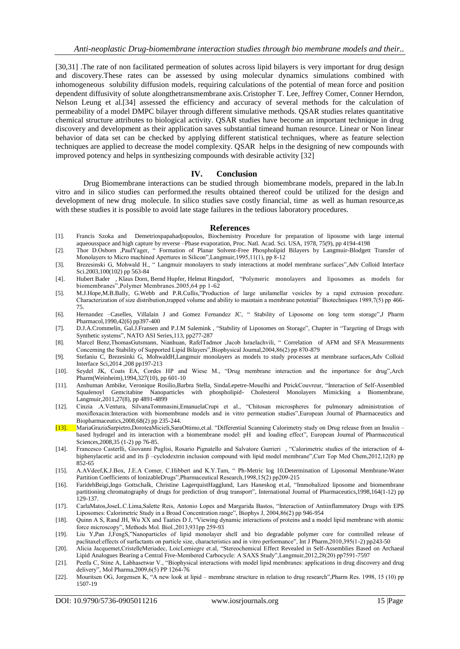[30,31] .The rate of non facilitated permeation of solutes across lipid bilayers is very important for drug design and discovery.These rates can be assessed by using molecular dynamics simulations combined with inhomogeneous solubility diffusion models, requiring calculations of the potential of mean force and position dependent diffusivity of solute alongthetransmembrane axis.Cristopher T. Lee, Jeffrey Comer, Conner Herndon, Nelson Leung et al.[34] assessed the efficiency and accuracy of several methods for the calculation of permeability of a model DMPC bilayer through different simulative methods. QSAR studies relates quantitative chemical structure attributes to biological activity. QSAR studies have become an important technique in drug discovery and development as their application saves substantial timeand human resource. Linear or Non linear behavior of data set can be checked by applying different statistical techniques, where as feature selection techniques are applied to decrease the model complexity. QSAR helps in the designing of new compounds with improved potency and helps in synthesizing compounds with desirable activity [32]

#### **IV. Conclusion**

Drug Biomembrane interactions can be studied through biomembrane models, prepared in the lab.In vitro and in silico studies can performed.the results obtained thereof could be utilized for the design and development of new drug molecule. In silico studies save costly financial, time as well as human resource,as with these studies it is possible to avoid late stage failures in the tedious laboratory procedures.

#### **References**

- [1]. Francis Szoka and Demetriospapahadjopoulos, Biochemistry Procedure for preparation of liposome with large internal aqueousspace and high capture by reverse –Phase evaporation, Proc. Natl. Acad. Sci. USA, 1978, 75(9), pp 4194-4198
- [2]. Thor D.Osborn ,PaulYager, " Formation of Planar Solvent-Free Phospholipid Bilayers by Langmuir-Blodgett Transfer of Monolayers to Micro machined Apertures in Silicon",Langmuir,1995,11(1), pp 8-12
- [3]. Brezesinski G, Mohwald H., " Langmuir monolayers to study interactions at model membrane surfaces",Adv Colloid Interface Sci.2003,100(102) pp 563-84
- [4]. Hubert Bader , Klaus Dorn, Bernd Hupfer, Helmut Ringsdorf, "Polymeric monolayers and liposomes as models for biomembranes",Polymer Membranes.2005,64 pp 1-62
- [5]. M.J.Hope,M.B.Bally, G.Webb and P.R.Cullis,"Production of large unilamellar vesicles by a rapid extrusion procedure. Characterization of size distribution,trapped volume and ability to maintain a membrane potential" Biotechniques 1989,7(5) pp 466- 75.
- [6]. Hernandez –Caselles, Villalain J and Gomez Fernandez JC, " Stability of Liposome on long term storage",J Pharm Pharmacol,1990,42(6) pp397-400
- [7]. D.J.A.Crommelin, Gal.J.Fransen and P.J.M Salemink , "Stability of Liposomes on Storage", Chapter in "Targeting of Drugs with Synthetic systems", NATO ASI Series,113, pp277-287
- [8]. Marcel Benz,ThomasGutsmann, Nianhuan, RafelTadmor ,Jacob Israelachvili, " Correlation of AFM and SFA Measurements Concerning the Stability of Supported Lipid Bilayers",Biophysical Journal,2004,86(2) pp 870-879
- [9]. Stefaniu C, Brezesinki G, MohwaldH,Langmuir monolayers as models to study processes at membrane surfaces,Adv Colloid Interface Sci,2014 ,208 pp197-213
- [10]. Seydel JK, Coats EA, Cordes HP and Wiese M., "Drug membrane interaction and the importance for drug",Arch Pharm(Weinheim),1994,327(10), pp 601-10
- [11]. Anshuman Ambike, Veronique Rosilio,Barbra Stella, SindaLepetre-Mouelhi and PtrickCouvreur, "Interaction of Self-Assembled Squalenoyl Gemcitabine Nanoparticles with phospholipid- Cholesterol Monolayers Mimicking a Biomembrane, Langmuir,2011,27(8), pp 4891-4899
- [12]. Cinzia .A.Ventura, SilvanaTommasini,EmanuelaCrupi et al., "Chitosan microspheres for pulmonary administration of moxifloxacin:Interaction with biomembrane models and in vitro permeation studies",European Journal of Pharmaceutics and Biopharmaceutics,2008,68(2) pp 235-244.
- [13]. MariaGraziaSarpietro,DoroteaMicieli,SaraOttimo,et.al. "Differential Scanning Calorimetry study on Drug release from an Insulin based hydrogel and its interaction with a biomembrane model: pH and loading effect", European Journal of Pharmaceutical Sciences,2008,35 (1-2) pp 76-85.
- [14]. Francesco Casterlli, Giovanni Puglisi, Rosario Pignatello and Salvatore Gurrieri , "Calorimetric studies of the interaction of 4 biphenylacetic acid and its β –cyclodextrin inclusion compound with lipid model membrane",Curr Top Med Chem,2012,12(8) pp 852-65
- [15]. A.AVdeef,K.J.Box, J.E.A Comer, C.Hibbert and K.Y.Tam, " Ph-Metric log 10.Determination of Liposomal Membrane-Water Partition Coefficients of IonizableDrugs",Pharmaceutical Research,1998,15(2) pp209-215
- [16]. FaridehBeigi,Ingo Gottschalk, Christine LagerquistHagglund, Lars Haneskog et.al, "Immobalized liposome and biomembrane partitioning chromatography of drugs for prediction of drug transport", International Journal of Pharmaceutics,1998,164(1-12) pp 129-137.
- [17]. CarlaMatos,JoseL.C.Lima,Salette Reis, Antonio Lopes and Margarida Bastos, "Interaction of Antiinflammatory Drugs with EPS Liposomes: Calorimetric Study in a Broad Concentration range", Biophys J, 2004,86(2) pp 946-954
- [18]. Quinn A S, Rand JH, Wu XX and Taaties D J, "Viewing dynamic interactions of proteins and a model lipid membrane with atomic force microscopy", Methods Mol. Biol.,2013,931pp 259-93
- [19]. Liu Y,Pan J,FengS,"Nanoparticles of lipid monolayer shell and bio degradable polymer core for controlled release of paclitaxel:effects of surfactants on particle size, characteristics and in vitro performance", Int J Pharm,2010,395(1-2) pp243-50
- [20]. Alicia Jacquemet,CristelleMeriadec, LoicLemiegre et.al, "Stereochemical Effect Revealed in Self-Assemblies Based on Archaeal Lipid Analogues Bearing a Central Five-Membered Carbocycle: A SAXS Study",Langmuir,2012,28(20) pp7591-7597
- [21]. Peetla C, Stine A, Labhasetwar V., "Biophysical interactions with model lipid membranes: applications in drug discovery and drug delivery", Mol Pharma,2009,6(5) PP 1264-76
- [22]. Mouritsen OG, Jorgensen K, "A new look at lipid membrane structure in relation to drug research",Pharm Res. 1998, 15 (10) pp 1507-19